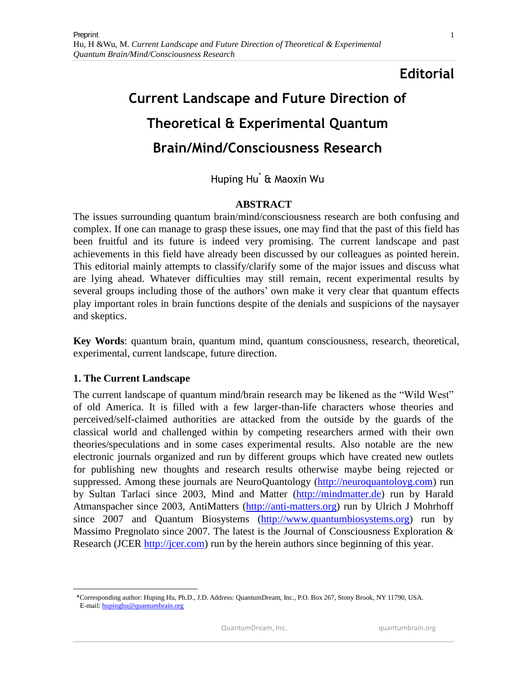# **Editorial**

# **Current Landscape and Future Direction of Theoretical & Experimental Quantum Brain/Mind/Consciousness Research**

# Huping Hu\* & Maoxin Wu

## **ABSTRACT**

The issues surrounding quantum brain/mind/consciousness research are both confusing and complex. If one can manage to grasp these issues, one may find that the past of this field has been fruitful and its future is indeed very promising. The current landscape and past achievements in this field have already been discussed by our colleagues as pointed herein. This editorial mainly attempts to classify/clarify some of the major issues and discuss what are lying ahead. Whatever difficulties may still remain, recent experimental results by several groups including those of the authors' own make it very clear that quantum effects play important roles in brain functions despite of the denials and suspicions of the naysayer and skeptics.

**Key Words**: quantum brain, quantum mind, quantum consciousness, research, theoretical, experimental, current landscape, future direction.

#### **1. The Current Landscape**

 $\overline{a}$ 

The current landscape of quantum mind/brain research may be likened as the "Wild West" of old America. It is filled with a few larger-than-life characters whose theories and perceived/self-claimed authorities are attacked from the outside by the guards of the classical world and challenged within by competing researchers armed with their own theories/speculations and in some cases experimental results. Also notable are the new electronic journals organized and run by different groups which have created new outlets for publishing new thoughts and research results otherwise maybe being rejected or suppressed. Among these journals are NeuroQuantology [\(http://neuroquantoloyg.com\)](http://neuroquantoloyg.com/) run by Sultan Tarlaci since 2003, Mind and Matter [\(http://mindmatter.de\)](http://mindmatter.de/) run by Harald Atmanspacher since 2003, AntiMatters [\(http://anti-matters.org\)](http://anti-matters.org/) run by Ulrich J Mohrhoff since 2007 and Quantum Biosystems [\(http://www.quantumbiosystems.org\)](http://quantumbiosystems.org/) run by Massimo Pregnolato since 2007. The latest is the Journal of Consciousness Exploration  $\&$ Research (JCER [http://jcer.com\)](http://jcer.com/) run by the herein authors since beginning of this year.

 <sup>\*</sup>Corresponding author: Huping Hu, Ph.D., J.D. Address: QuantumDream, Inc., P.O. Box 267, Stony Brook, NY 11790, USA. E-mail: [hupinghu@quantumbrain.org](mailto:hupinghu@quantumbrain.org)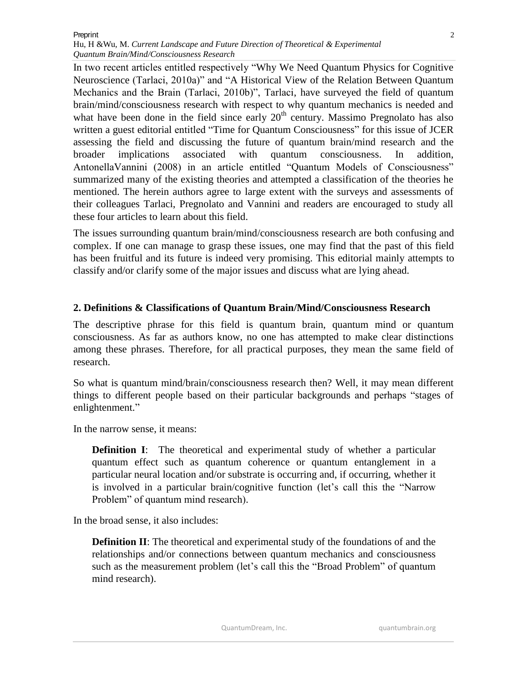In two recent articles entitled respectively "Why We Need Quantum Physics for Cognitive Neuroscience (Tarlaci, 2010a)" and "A Historical View of the Relation Between Quantum Mechanics and the Brain (Tarlaci, 2010b)", Tarlaci, have surveyed the field of quantum brain/mind/consciousness research with respect to why quantum mechanics is needed and what have been done in the field since early  $20<sup>th</sup>$  century. Massimo Pregnolato has also written a guest editorial entitled "Time for Quantum Consciousness" for this issue of JCER assessing the field and discussing the future of quantum brain/mind research and the broader implications associated with quantum consciousness. In addition, AntonellaVannini (2008) in an article entitled "Quantum Models of Consciousness" summarized many of the existing theories and attempted a classification of the theories he mentioned. The herein authors agree to large extent with the surveys and assessments of their colleagues Tarlaci, Pregnolato and Vannini and readers are encouraged to study all these four articles to learn about this field.

The issues surrounding quantum brain/mind/consciousness research are both confusing and complex. If one can manage to grasp these issues, one may find that the past of this field has been fruitful and its future is indeed very promising. This editorial mainly attempts to classify and/or clarify some of the major issues and discuss what are lying ahead.

#### **2. Definitions & Classifications of Quantum Brain/Mind/Consciousness Research**

The descriptive phrase for this field is quantum brain, quantum mind or quantum consciousness. As far as authors know, no one has attempted to make clear distinctions among these phrases. Therefore, for all practical purposes, they mean the same field of research.

So what is quantum mind/brain/consciousness research then? Well, it may mean different things to different people based on their particular backgrounds and perhaps "stages of enlightenment."

In the narrow sense, it means:

**Definition I:** The theoretical and experimental study of whether a particular quantum effect such as quantum coherence or quantum entanglement in a particular neural location and/or substrate is occurring and, if occurring, whether it is involved in a particular brain/cognitive function (let's call this the "Narrow Problem" of quantum mind research).

In the broad sense, it also includes:

**Definition II**: The theoretical and experimental study of the foundations of and the relationships and/or connections between quantum mechanics and consciousness such as the measurement problem (let's call this the "Broad Problem" of quantum mind research).

QuantumDream, Inc. **Quantumbrain.org**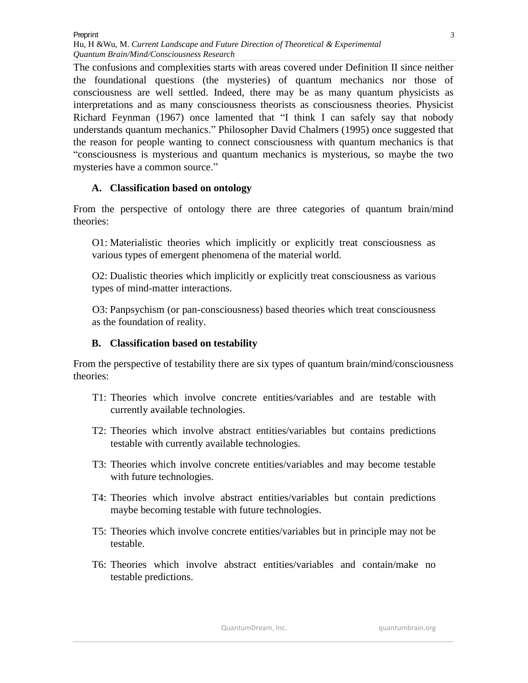The confusions and complexities starts with areas covered under Definition II since neither the foundational questions (the mysteries) of quantum mechanics nor those of consciousness are well settled. Indeed, there may be as many quantum physicists as interpretations and as many consciousness theorists as consciousness theories. Physicist Richard Feynman (1967) once lamented that "I think I can safely say that nobody understands quantum mechanics." Philosopher David Chalmers (1995) once suggested that the reason for people wanting to connect consciousness with quantum mechanics is that "consciousness is mysterious and quantum mechanics is mysterious, so maybe the two mysteries have a common source."

## **A. Classification based on ontology**

From the perspective of ontology there are three categories of quantum brain/mind theories:

O1: Materialistic theories which implicitly or explicitly treat consciousness as various types of emergent phenomena of the material world.

O2: Dualistic theories which implicitly or explicitly treat consciousness as various types of mind-matter interactions.

O3: Panpsychism (or pan-consciousness) based theories which treat consciousness as the foundation of reality.

## **B. Classification based on testability**

From the perspective of testability there are six types of quantum brain/mind/consciousness theories:

- T1: Theories which involve concrete entities/variables and are testable with currently available technologies.
- T2: Theories which involve abstract entities/variables but contains predictions testable with currently available technologies.
- T3: Theories which involve concrete entities/variables and may become testable with future technologies.
- T4: Theories which involve abstract entities/variables but contain predictions maybe becoming testable with future technologies.
- T5: Theories which involve concrete entities/variables but in principle may not be testable.
- T6: Theories which involve abstract entities/variables and contain/make no testable predictions.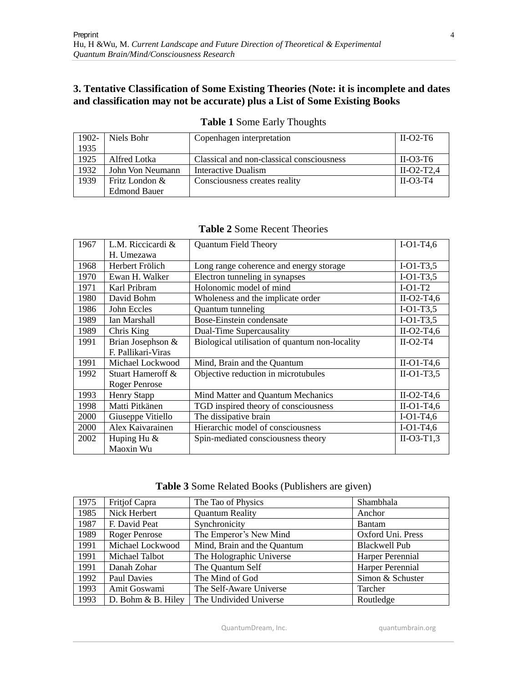## **3. Tentative Classification of Some Existing Theories (Note: it is incomplete and dates and classification may not be accurate) plus a List of Some Existing Books**

| 1902- | Niels Bohr          | Copenhagen interpretation                 | $II-O2-T6$   |
|-------|---------------------|-------------------------------------------|--------------|
| 1935  |                     |                                           |              |
| 1925  | Alfred Lotka        | Classical and non-classical consciousness | $II-O3-T6$   |
| 1932  | John Von Neumann    | Interactive Dualism                       | $II-O2-T2.4$ |
| 1939  | Fritz London &      | Consciousness creates reality             | $II-O3-T4$   |
|       | <b>Edmond Bauer</b> |                                           |              |

**Table 1** Some Early Thoughts

|  |  | <b>Table 2 Some Recent Theories</b> |
|--|--|-------------------------------------|
|  |  |                                     |

| 1967 | L.M. Riccicardi &    | <b>Quantum Field Theory</b>                    | $I-O1-T4,6$  |
|------|----------------------|------------------------------------------------|--------------|
|      | H. Umezawa           |                                                |              |
| 1968 | Herbert Frölich      | Long range coherence and energy storage        | $I-O1-T3,5$  |
| 1970 | Ewan H. Walker       | Electron tunneling in synapses                 | $I-O1-T3,5$  |
| 1971 | Karl Pribram         | Holonomic model of mind                        | $I-O1-T2$    |
| 1980 | David Bohm           | Wholeness and the implicate order              | $II-O2-T4,6$ |
| 1986 | John Eccles          | Quantum tunneling                              | $I-O1-T3,5$  |
| 1989 | Ian Marshall         | Bose-Einstein condensate                       | $I-O1-T3,5$  |
| 1989 | Chris King           | Dual-Time Supercausality                       | $II-O2-T4,6$ |
| 1991 | Brian Josephson &    | Biological utilisation of quantum non-locality | $II-O2-T4$   |
|      | F. Pallikari-Viras   |                                                |              |
| 1991 | Michael Lockwood     | Mind, Brain and the Quantum                    | $II-O1-T4,6$ |
| 1992 | Stuart Hameroff &    | Objective reduction in microtubules            | $II-O1-T3,5$ |
|      | <b>Roger Penrose</b> |                                                |              |
| 1993 | <b>Henry Stapp</b>   | Mind Matter and Quantum Mechanics              | $II-O2-T4,6$ |
| 1998 | Matti Pitkänen       | TGD inspired theory of consciousness           | $II-O1-T4,6$ |
| 2000 | Giuseppe Vitiello    | The dissipative brain                          | $I-O1-T4,6$  |
| 2000 | Alex Kaivarainen     | Hierarchic model of consciousness              | $I-O1-T4,6$  |
| 2002 | Huping Hu &          | Spin-mediated consciousness theory             | $II-O3-T1,3$ |
|      | Maoxin Wu            |                                                |              |

**Table 3** Some Related Books (Publishers are given)

| 1975 | Fritjof Capra        | The Tao of Physics          | Shambhala            |
|------|----------------------|-----------------------------|----------------------|
| 1985 | Nick Herbert         | <b>Quantum Reality</b>      | Anchor               |
| 1987 | F. David Peat        | Synchronicity               | <b>Bantam</b>        |
| 1989 | <b>Roger Penrose</b> | The Emperor's New Mind      | Oxford Uni. Press    |
| 1991 | Michael Lockwood     | Mind, Brain and the Quantum | <b>Blackwell Pub</b> |
| 1991 | Michael Talbot       | The Holographic Universe    | Harper Perennial     |
| 1991 | Danah Zohar          | The Quantum Self            | Harper Perennial     |
| 1992 | <b>Paul Davies</b>   | The Mind of God             | Simon & Schuster     |
| 1993 | Amit Goswami         | The Self-Aware Universe     | Tarcher              |
| 1993 | D. Bohm & B. Hiley   | The Undivided Universe      | Routledge            |

QuantumDream, Inc. **Quantumbrain.org**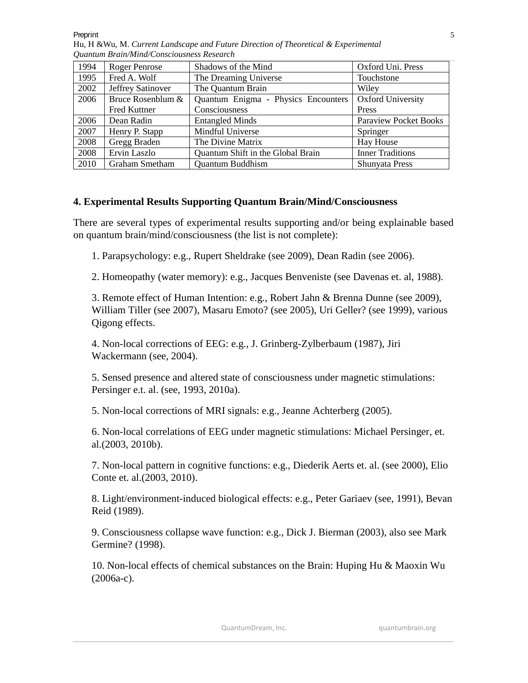**Preprint** 

| 1994 | <b>Roger Penrose</b>     | Shadows of the Mind                 | Oxford Uni. Press            |
|------|--------------------------|-------------------------------------|------------------------------|
| 1995 | Fred A. Wolf             | The Dreaming Universe               | Touchstone                   |
| 2002 | <b>Jeffrey Satinover</b> | The Quantum Brain                   | Wiley                        |
| 2006 | Bruce Rosenblum &        | Quantum Enigma - Physics Encounters | <b>Oxford University</b>     |
|      | <b>Fred Kuttner</b>      | Consciousness                       | Press                        |
| 2006 | Dean Radin               | <b>Entangled Minds</b>              | <b>Paraview Pocket Books</b> |
| 2007 | Henry P. Stapp           | Mindful Universe                    | Springer                     |
| 2008 | Gregg Braden             | The Divine Matrix                   | Hay House                    |
| 2008 | Ervin Laszlo             | Quantum Shift in the Global Brain   | <b>Inner Traditions</b>      |
| 2010 | Graham Smetham           | Quantum Buddhism                    | Shunyata Press               |

Hu, H &Wu*,* M. *Current Landscape and Future Direction of Theoretical & Experimental Quantum Brain/Mind/Consciousness Research*

#### **4. Experimental Results Supporting Quantum Brain/Mind/Consciousness**

There are several types of experimental results supporting and/or being explainable based on quantum brain/mind/consciousness (the list is not complete):

1. Parapsychology: e.g., Rupert Sheldrake (see 2009), Dean Radin (see 2006).

2. Homeopathy (water memory): e.g., Jacques Benveniste (see Davenas et. al, 1988).

3. Remote effect of Human Intention: e.g., Robert Jahn & Brenna Dunne (see 2009), William Tiller (see 2007), Masaru Emoto? (see 2005), Uri Geller? (see 1999), various Qigong effects.

4. Non-local corrections of EEG: e.g., J. Grinberg-Zylberbaum (1987), Jiri Wackermann (see, 2004).

5. Sensed presence and altered state of consciousness under magnetic stimulations: Persinger e.t. al. (see, 1993, 2010a).

5. Non-local corrections of MRI signals: e.g., Jeanne Achterberg (2005).

6. Non-local correlations of EEG under magnetic stimulations: Michael Persinger, et. al.(2003, 2010b).

7. Non-local pattern in cognitive functions: e.g., Diederik Aerts et. al. (see 2000), Elio Conte et. al.(2003, 2010).

8. Light/environment-induced biological effects: e.g., Peter Gariaev (see, 1991), Bevan Reid (1989).

9. Consciousness collapse wave function: e.g., Dick J. Bierman (2003), also see Mark Germine? (1998).

10. Non-local effects of chemical substances on the Brain: Huping Hu & Maoxin Wu (2006a-c).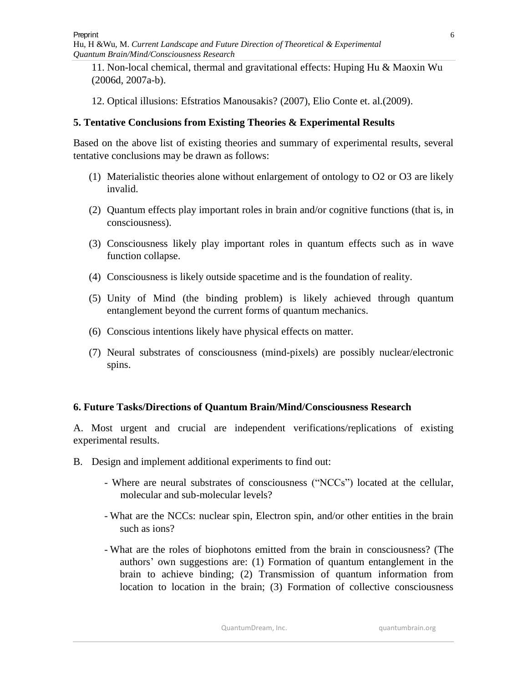Hu, H &Wu*,* M. *Current Landscape and Future Direction of Theoretical & Experimental Quantum Brain/Mind/Consciousness Research*

11. Non-local chemical, thermal and gravitational effects: Huping Hu & Maoxin Wu (2006d, 2007a-b).

12. Optical illusions: Efstratios Manousakis? (2007), Elio Conte et. al.(2009).

#### **5. Tentative Conclusions from Existing Theories & Experimental Results**

Based on the above list of existing theories and summary of experimental results, several tentative conclusions may be drawn as follows:

- (1) Materialistic theories alone without enlargement of ontology to O2 or O3 are likely invalid.
- (2) Quantum effects play important roles in brain and/or cognitive functions (that is, in consciousness).
- (3) Consciousness likely play important roles in quantum effects such as in wave function collapse.
- (4) Consciousness is likely outside spacetime and is the foundation of reality.
- (5) Unity of Mind (the binding problem) is likely achieved through quantum entanglement beyond the current forms of quantum mechanics.
- (6) Conscious intentions likely have physical effects on matter.
- (7) Neural substrates of consciousness (mind-pixels) are possibly nuclear/electronic spins.

#### **6. Future Tasks/Directions of Quantum Brain/Mind/Consciousness Research**

A. Most urgent and crucial are independent verifications/replications of existing experimental results.

- B. Design and implement additional experiments to find out:
	- Where are neural substrates of consciousness ("NCCs") located at the cellular, molecular and sub-molecular levels?
	- What are the NCCs: nuclear spin, Electron spin, and/or other entities in the brain such as ions?
	- What are the roles of biophotons emitted from the brain in consciousness? (The authors' own suggestions are: (1) Formation of quantum entanglement in the brain to achieve binding; (2) Transmission of quantum information from location to location in the brain; (3) Formation of collective consciousness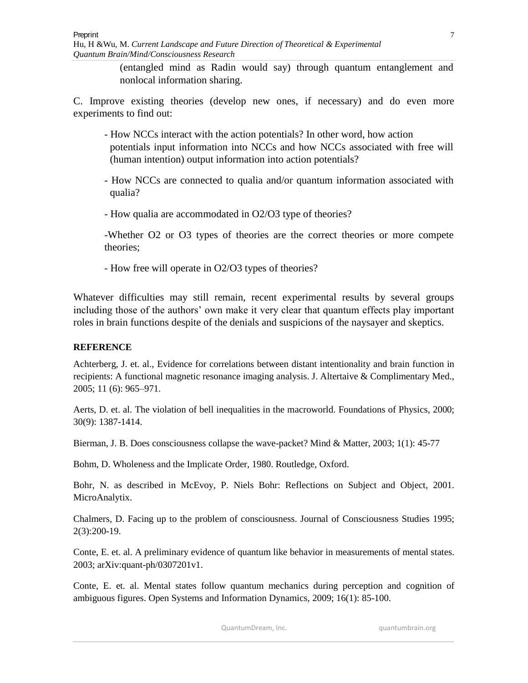Hu, H &Wu*,* M. *Current Landscape and Future Direction of Theoretical & Experimental Quantum Brain/Mind/Consciousness Research*

> (entangled mind as Radin would say) through quantum entanglement and nonlocal information sharing.

C. Improve existing theories (develop new ones, if necessary) and do even more experiments to find out:

- How NCCs interact with the action potentials? In other word, how action potentials input information into NCCs and how NCCs associated with free will (human intention) output information into action potentials?
- How NCCs are connected to qualia and/or quantum information associated with qualia?
- How qualia are accommodated in O2/O3 type of theories?

-Whether O2 or O3 types of theories are the correct theories or more compete theories;

- How free will operate in O2/O3 types of theories?

Whatever difficulties may still remain, recent experimental results by several groups including those of the authors' own make it very clear that quantum effects play important roles in brain functions despite of the denials and suspicions of the naysayer and skeptics.

#### **REFERENCE**

Achterberg, J. et. al., Evidence for correlations between distant intentionality and brain function in recipients: A functional magnetic resonance imaging analysis. J. Altertaive & Complimentary Med., 2005; 11 (6): 965–971.

Aerts, D. et. al. The violation of bell inequalities in the macroworld. Foundations of Physics, 2000; 30(9): 1387-1414.

Bierman, J. B. Does consciousness collapse the wave-packet? Mind & Matter, 2003; 1(1): 45-77

Bohm, D. Wholeness and the Implicate Order, 1980. Routledge, Oxford.

Bohr, N. as described in McEvoy, P. Niels Bohr: Reflections on Subject and Object, 2001. MicroAnalytix.

Chalmers, D. Facing up to the problem of consciousness. Journal of Consciousness Studies 1995; 2(3):200-19.

Conte, E. et. al. A preliminary evidence of quantum like behavior in measurements of mental states. 2003; arXiv:quant-ph/0307201v1.

Conte, E. et. al. Mental states follow quantum mechanics during perception and cognition of ambiguous figures. Open Systems and Information Dynamics, 2009; 16(1): 85-100.

QuantumDream, Inc. example a manufactured a quantumbrain.org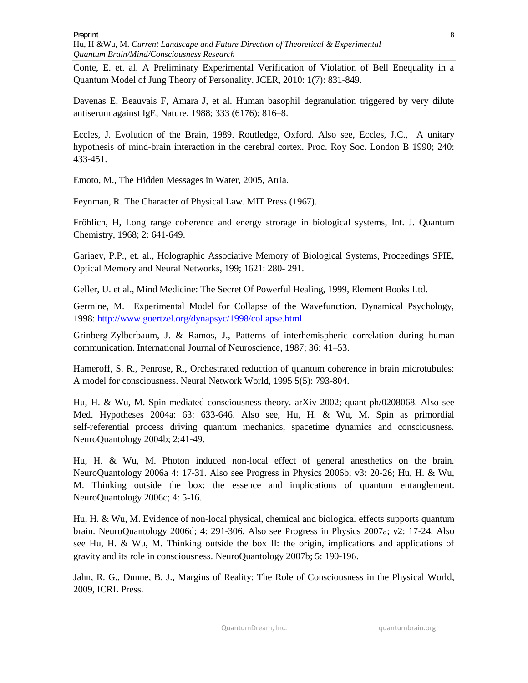Hu, H &Wu*,* M. *Current Landscape and Future Direction of Theoretical & Experimental Quantum Brain/Mind/Consciousness Research*

Conte, E. et. al. A Preliminary Experimental Verification of Violation of Bell Enequality in a Quantum Model of Jung Theory of Personality. JCER, 2010: 1(7): 831-849.

Davenas E, Beauvais F, Amara J, et al. Human basophil degranulation triggered by very dilute antiserum against IgE, Nature, 1988; 333 (6176): 816–8.

Eccles, J. Evolution of the Brain, 1989. Routledge, Oxford. Also see, Eccles, J.C., A unitary hypothesis of mind-brain interaction in the cerebral cortex. Proc. Roy Soc. London B 1990; 240: 433-451.

Emoto, M., The Hidden Messages in Water, 2005, Atria.

Feynman, R. The Character of Physical Law. MIT Press (1967).

Fröhlich, H, Long range coherence and energy strorage in biological systems, Int. J. Quantum Chemistry, 1968; 2: 641-649.

Gariaev, P.P., et. al., Holographic Associative Memory of Biological Systems, Proceedings SPIE, Optical Memory and Neural Networks, 199; 1621: 280- 291.

Geller, U. et al., Mind Medicine: The Secret Of Powerful Healing, 1999, Element Books Ltd.

Germine, M. Experimental Model for Collapse of the Wavefunction. Dynamical Psychology, 1998:<http://www.goertzel.org/dynapsyc/1998/collapse.html>

Grinberg-Zylberbaum, J. & Ramos, J., Patterns of interhemispheric correlation during human communication. International Journal of Neuroscience, 1987; 36: 41–53.

Hameroff, S. R., Penrose, R., Orchestrated reduction of quantum coherence in brain microtubules: A model for consciousness. Neural Network World, 1995 5(5): 793-804.

Hu, H. & Wu, M. Spin-mediated consciousness theory. arXiv 2002; quant-ph/0208068. Also see Med. Hypotheses 2004a: 63: 633-646. Also see, Hu, H. & Wu, M. Spin as primordial self-referential process driving quantum mechanics, spacetime dynamics and consciousness. NeuroQuantology 2004b; 2:41-49.

Hu, H. & Wu, M. Photon induced non-local effect of general anesthetics on the brain. NeuroQuantology 2006a 4: 17-31. Also see Progress in Physics 2006b; v3: 20-26; Hu, H. & Wu, M. Thinking outside the box: the essence and implications of quantum entanglement. NeuroQuantology 2006c; 4: 5-16.

Hu, H. & Wu, M. Evidence of non-local physical, chemical and biological effects supports quantum brain. NeuroQuantology 2006d; 4: 291-306. Also see Progress in Physics 2007a; v2: 17-24. Also see Hu, H. & Wu, M. Thinking outside the box II: the origin, implications and applications of gravity and its role in consciousness. NeuroQuantology 2007b; 5: 190-196.

Jahn, R. G., Dunne, B. J., Margins of Reality: The Role of Consciousness in the Physical World, 2009, ICRL Press.

QuantumDream, Inc. **Quantumbrain.org**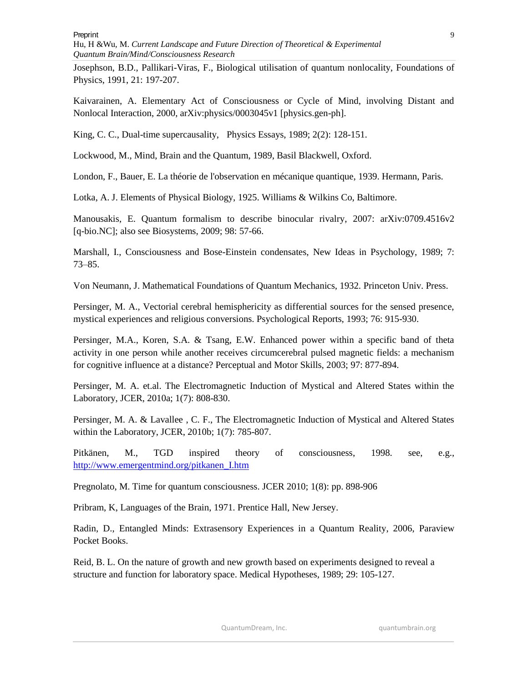**Preprint** 

Hu, H &Wu*,* M. *Current Landscape and Future Direction of Theoretical & Experimental Quantum Brain/Mind/Consciousness Research*

Josephson, B.D., Pallikari-Viras, F., Biological utilisation of quantum nonlocality, Foundations of Physics, 1991, 21: 197-207.

Kaivarainen, A. Elementary Act of Consciousness or Cycle of Mind, involving Distant and Nonlocal Interaction, 2000, arXiv:physics/0003045v1 [physics.gen-ph].

King, C. C., Dual-time supercausality, Physics Essays, 1989; 2(2): 128-151.

Lockwood, M., Mind, Brain and the Quantum, 1989, Basil Blackwell, Oxford.

London, F., Bauer, E. La théorie de l'observation en mécanique quantique, 1939. Hermann, Paris.

Lotka, A. J. Elements of Physical Biology, 1925. Williams & Wilkins Co, Baltimore.

Manousakis, E. Quantum formalism to describe binocular rivalry, 2007: arXiv:0709.4516v2 [q-bio.NC]; also see Biosystems, 2009; 98: 57-66.

Marshall, I., Consciousness and Bose-Einstein condensates, New Ideas in Psychology, 1989; 7: 73–85.

Von Neumann, J. Mathematical Foundations of Quantum Mechanics, 1932. Princeton Univ. Press.

Persinger, M. A., Vectorial cerebral hemisphericity as differential sources for the sensed presence, mystical experiences and religious conversions. Psychological Reports, 1993; 76: 915-930.

Persinger, M.A., Koren, S.A. & Tsang, E.W. Enhanced power within a specific band of theta activity in one person while another receives circumcerebral pulsed magnetic fields: a mechanism for cognitive influence at a distance? Perceptual and Motor Skills, 2003; 97: 877-894.

Persinger, M. A. et.al. The Electromagnetic Induction of Mystical and Altered States within the Laboratory, JCER, 2010a; 1(7): 808-830.

Persinger, M. A. & Lavallee , C. F., The Electromagnetic Induction of Mystical and Altered States within the Laboratory, JCER, 2010b; 1(7): 785-807.

Pitkänen, M., TGD inspired theory of consciousness, 1998. see, e.g., [http://www.emergentmind.org/pitkanen\\_I.htm](http://www.emergentmind.org/pitkanen_I.htm)

Pregnolato, M. Time for quantum consciousness. JCER 2010; 1(8): pp. 898-906

Pribram, K, Languages of the Brain, 1971. Prentice Hall, New Jersey.

Radin, D., Entangled Minds: Extrasensory Experiences in a Quantum Reality, 2006, Paraview Pocket Books.

Reid, B. L. On the nature of growth and new growth based on experiments designed to reveal a structure and function for laboratory space. Medical Hypotheses, 1989; 29: 105-127.